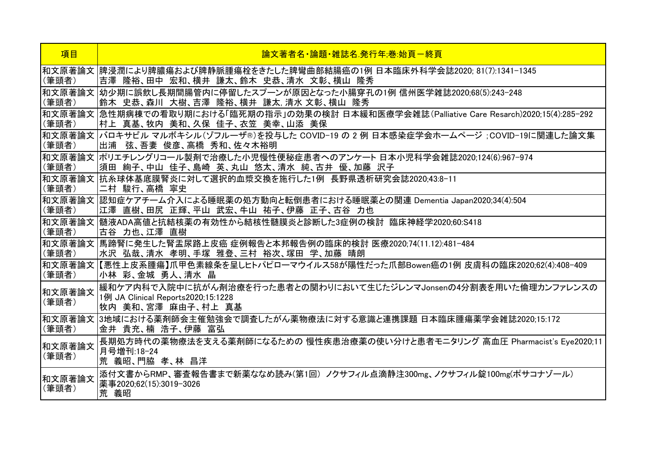| 項目              | 論文著者名・論題・雑誌名 発行年:巻:始頁ー終頁                                                                                                     |
|-----------------|------------------------------------------------------------------------------------------------------------------------------|
| (筆頭者)           | 和文原著論文  脾浸潤により脾膿瘍および脾静脈腫瘍栓をきたした脾彎曲部結腸癌の1例 日本臨床外科学会誌2020; 81(7):1341-1345<br> 吉澤 隆裕、田中 宏和、横井 謙太、鈴木 史恭、清水 文彰、横山 隆秀             |
| 和文原著論文<br>(筆頭者) | 幼少期に誤飲し長期間腸管内に停留したスプーンが原因となった小腸穿孔の1例 信州医学雑誌2020;68(5):243–248<br> 鈴木 史恭、森川 大樹、吉澤 隆裕、横井 謙太,清水 文彰、横山 隆秀                        |
| (筆頭者)           | 和文原著論文  急性期病棟での看取り期における「臨死期の指示」の効果の検討 日本緩和医療学会雑誌(Palliative Care Resarch)2020;15(4):285-292<br>村上 真基、牧内 美和、久保 佳子、衣笠 美幸、山添 美保 |
| (筆頭者)           | 和文原著論文  バロキサビル マルボキシル(ゾフルーザ®)を投与した COVID-19 の 2 例 日本感染症学会ホームページ ;COVID-19に関連した論文集<br> 出浦  弦、吾妻  俊彦、高橋  秀和、佐々木裕明              |
| 和文原著論文<br>(筆頭者) | ポリエチレングリコール製剤で治療した小児慢性便秘症患者へのアンケート 日本小児科学会雑誌2020;124(6):967-974<br> 須田 絢子、中山 佳子、島崎 英、丸山 悠太、清水 純、古井 優、加藤 沢子                   |
| (筆頭者)           | 和文原著論文  抗糸球体基底膜腎炎に対して選択的血漿交換を施行した1例 長野県透析研究会誌2020;43:8-11<br>二村 駿行、高橋 寧史                                                     |
| (筆頭者)           | 和文原著論文  認知症ケアチーム介入による睡眠薬の処方動向と転倒患者における睡眠薬との関連 Dementia Japan2020;34(4):504<br>江澤 直樹、田尻 正輝、平山 武宏、牛山 祐子、伊藤 正子、古谷 力也            |
| 和文原著論文<br>(筆頭者) | 髄液ADA高値と抗結核薬の有効性から結核性髄膜炎と診断した3症例の検討 臨床神経学2020;60:S418<br>古谷 力也、江澤 直樹                                                         |
| (筆頭者)           | 和文原著論文 馬蹄腎に発生した腎盂尿路上皮癌 症例報告と本邦報告例の臨床的検討 医療2020;74(11.12):481-484<br>水沢 弘哉、清水 孝明、手塚 雅登、三村 裕次、塚田 学、加藤 晴朗                       |
| 和文原著論文<br>(筆頭者) | 【悪性上皮系腫瘍】爪甲色素線条を呈しヒトパピローマウイルス58が陽性だった爪部Bowen癌の1例 皮膚科の臨床2020:62(4):408–409<br>小林 彩、金城 勇人、清水 晶                                 |
| 和文原著論文<br>(筆頭者) | 緩和ケア内科で入院中に抗がん剤治療を行った患者との関わりにおいて生じたジレンマJonsenの4分割表を用いた倫理カンファレンスの<br>1例 JA Clinical Reports2020;15:1228<br>牧内 美和、宮澤 麻由子、村上 真基 |
| 和文原著論文<br>(筆頭者) | 3地域における薬剤師会主催勉強会で調査したがん薬物療法に対する意識と連携課題 日本臨床腫瘍薬学会雑誌2020;15:172<br>金井 貴充、楠 浩子、伊藤 富弘                                            |
| 和文原著論文<br>(筆頭者) | 長期処方時代の薬物療法を支える薬剤師になるための 慢性疾患治療薬の使い分けと患者モニタリング 高血圧 Pharmacist's Eye2020;11<br>月号増刊:18-24<br>荒 義昭、門脇 孝、林 昌洋                   |
| 和文原著論文<br>(筆頭者) | 添付文書からRMP、審査報告書まで新薬ななめ読み(第1回) ノクサフィル点滴静注300mg、ノクサフィル錠100mg(ポサコナゾール)<br>薬事2020:62(15):3019-3026<br>荒 義昭                       |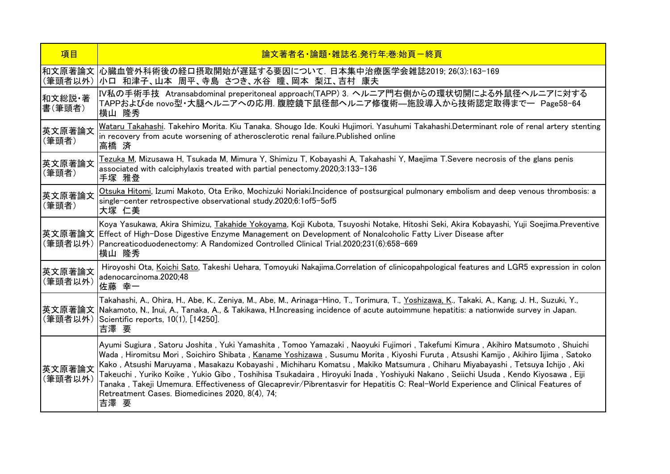| 項目                | 論文著者名•論題•雑誌名 発行年:巻:始頁-終頁                                                                                                                                                                                                                                                                                                                                                                                                                                                                                                                                                                                                                                                                                                                                       |
|-------------------|----------------------------------------------------------------------------------------------------------------------------------------------------------------------------------------------------------------------------------------------------------------------------------------------------------------------------------------------------------------------------------------------------------------------------------------------------------------------------------------------------------------------------------------------------------------------------------------------------------------------------------------------------------------------------------------------------------------------------------------------------------------|
| (筆頭者以外)           | 和文原著論文 心臓血管外科術後の経口摂取開始が遅延する要因について. 日本集中治療医学会雑誌2019; 26(3):163-169<br> 小口 和津子、山本 周平、寺島 さつき、水谷 瞳、岡本 梨江、吉村 康夫                                                                                                                                                                                                                                                                                                                                                                                                                                                                                                                                                                                                                                                     |
| 和文総説 著<br>書(筆頭者)  | IV私の手術手技 Atransabdominal preperitoneal approach(TAPP) 3. ヘルニア門右側からの環状切開による外鼠径ヘルニアに対する<br> TAPPおよびde novo型・大腿ヘルニアへの応用. 腹腔鏡下鼠径部ヘルニア修復術―施設導入から技術認定取得まで― Page58-64<br>横山 隆秀                                                                                                                                                                                                                                                                                                                                                                                                                                                                                                                                                                                        |
| 英文原著論文<br>(筆頭者)   | Wataru Takahashi. Takehiro Morita. Kiu Tanaka. Shougo Ide. Kouki Hujimori. Yasuhumi Takahashi.Determinant role of renal artery stenting<br>in recovery from acute worsening of atherosclerotic renal failure. Published online<br>高橋 済                                                                                                                                                                                                                                                                                                                                                                                                                                                                                                                         |
| 英文原著論文<br>(筆頭者)   | <u>Tezuka M</u> , Mizusawa H, Tsukada M, Mimura Y, Shimizu T, Kobayashi A, Takahashi Y, Maejima T.Severe necrosis of the glans penis<br>associated with calciphylaxis treated with partial penectomy.2020;3:133-136<br>手塚 雅登                                                                                                                                                                                                                                                                                                                                                                                                                                                                                                                                   |
| 英文原著論文<br>(筆頭者)   | Otsuka Hitomi, Izumi Makoto, Ota Eriko, Mochizuki Noriaki.Incidence of postsurgical pulmonary embolism and deep venous thrombosis: a<br>single-center retrospective observational study.2020;6:1of5-5of5<br>大塚 仁美                                                                                                                                                                                                                                                                                                                                                                                                                                                                                                                                              |
|                   | Koya Yasukawa, Akira Shimizu, <u>Takahide Yokoyama,</u> Koji Kubota, Tsuyoshi Notake, Hitoshi Seki, Akira Kobayashi, Yuji Soejima.Preventive<br> 英文原著論文  Effect of High-Dose Digestive Enzyme Management on Development of Nonalcoholic Fatty Liver Disease after<br>(筆頭者以外) Pancreaticoduodenectomy: A Randomized Controlled Clinical Trial.2020;231(6):658-669<br> 横山 隆秀                                                                                                                                                                                                                                                                                                                                                                                     |
| 英文原著論文<br>(筆頭者以外) | Hiroyoshi Ota, Koichi Sato, Takeshi Uehara, Tomoyuki Nakajima.Correlation of clinicopahpological features and LGR5 expression in colon<br>adenocarcinoma.2020;48<br>佐藤 幸一                                                                                                                                                                                                                                                                                                                                                                                                                                                                                                                                                                                      |
|                   | Takahashi, A., Ohira, H., Abe, K., Zeniya, M., Abe, M., Arinaga-Hino, T., Torimura, T., <u>Yoshizawa, K</u> ., Takaki, A., Kang, J. H., Suzuki, Y.,<br> 英文原著論文  Nakamoto, N., Inui, A., Tanaka, A., & Takikawa, H.Increasing incidence of acute autoimmune hepatitis: a nationwide survey in Japan.<br>(筆頭者以外) Scientific reports, 10(1), [14250].<br>吉澤 要                                                                                                                                                                                                                                                                                                                                                                                                     |
| 英文原著論文<br>(筆頭者以外) | Ayumi Sugiura , Satoru Joshita , Yuki Yamashita , Tomoo Yamazaki , Naoyuki Fujimori , Takefumi Kimura , Akihiro Matsumoto , Shuichi<br> Wada , Hiromitsu Mori , Soichiro Shibata , <u>Kaname Yoshizawa</u> , Susumu Morita , Kiyoshi Furuta , Atsushi Kamijo , Akihiro Iijima , Satoko<br>Kako, Atsushi Maruyama, Masakazu Kobayashi, Michiharu Komatsu, Makiko Matsumura, Chiharu Miyabayashi, Tetsuya Ichijo, Aki<br>Takeuchi , Yuriko Koike , Yukio Gibo , Toshihisa Tsukadaira , Hiroyuki Inada , Yoshiyuki Nakano , Seiichi Usuda , Kendo Kiyosawa , Eiji<br>Tanaka, Takeji Umemura. Effectiveness of Glecaprevir/Pibrentasvir for Hepatitis C: Real-World Experience and Clinical Features of<br>Retreatment Cases. Biomedicines 2020, 8(4), 74;<br>吉澤 要 |